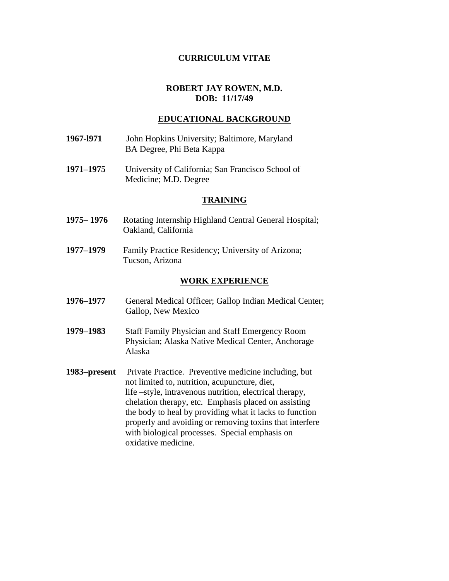## **CURRICULUM VITAE**

# **ROBERT JAY ROWEN, M.D. DOB: 11/17/49**

## **EDUCATIONAL BACKGROUND**

- **1967-l971** John Hopkins University; Baltimore, Maryland BA Degree, Phi Beta Kappa
- **1971–1975** University of California; San Francisco School of Medicine; M.D. Degree

#### **TRAINING**

- **1975– 1976** Rotating Internship Highland Central General Hospital; Oakland, California
- **1977–1979** Family Practice Residency; University of Arizona; Tucson, Arizona

#### **WORK EXPERIENCE**

- **1976–1977** General Medical Officer; Gallop Indian Medical Center; Gallop, New Mexico
- **1979–1983** Staff Family Physician and Staff Emergency Room Physician; Alaska Native Medical Center, Anchorage Alaska
- **1983–present** Private Practice. Preventive medicine including, but not limited to, nutrition, acupuncture, diet, life –style, intravenous nutrition, electrical therapy, chelation therapy, etc. Emphasis placed on assisting the body to heal by providing what it lacks to function properly and avoiding or removing toxins that interfere with biological processes. Special emphasis on oxidative medicine.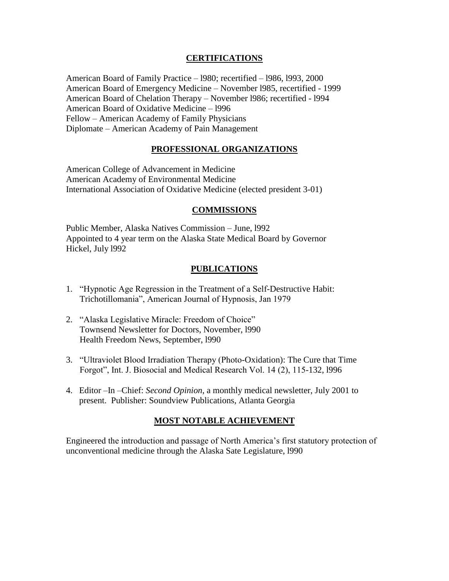# **CERTIFICATIONS**

American Board of Family Practice – l980; recertified – l986, l993, 2000 American Board of Emergency Medicine – November l985, recertified - 1999 American Board of Chelation Therapy – November l986; recertified - l994 American Board of Oxidative Medicine – l996 Fellow – American Academy of Family Physicians Diplomate – American Academy of Pain Management

# **PROFESSIONAL ORGANIZATIONS**

American College of Advancement in Medicine American Academy of Environmental Medicine International Association of Oxidative Medicine (elected president 3-01)

### **COMMISSIONS**

Public Member, Alaska Natives Commission – June, l992 Appointed to 4 year term on the Alaska State Medical Board by Governor Hickel, July l992

# **PUBLICATIONS**

- 1. "Hypnotic Age Regression in the Treatment of a Self-Destructive Habit: Trichotillomania", American Journal of Hypnosis, Jan 1979
- 2. "Alaska Legislative Miracle: Freedom of Choice" Townsend Newsletter for Doctors, November, l990 Health Freedom News, September, l990
- 3. "Ultraviolet Blood Irradiation Therapy (Photo-Oxidation): The Cure that Time Forgot", Int. J. Biosocial and Medical Research Vol. 14 (2), 115-132, l996
- 4. Editor –In –Chief: *Second Opinion*, a monthly medical newsletter, July 2001 to present. Publisher: Soundview Publications, Atlanta Georgia

# **MOST NOTABLE ACHIEVEMENT**

Engineered the introduction and passage of North America's first statutory protection of unconventional medicine through the Alaska Sate Legislature, l990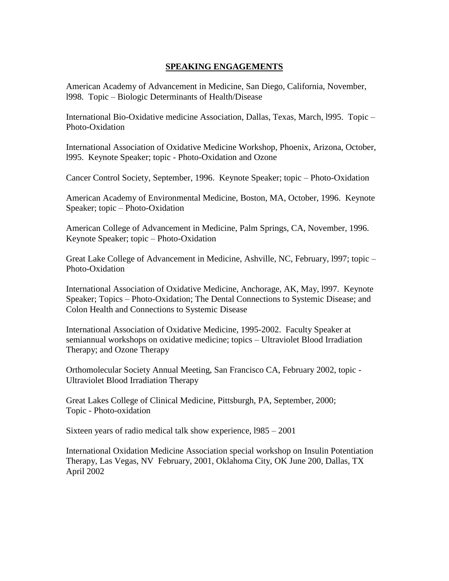# **SPEAKING ENGAGEMENTS**

American Academy of Advancement in Medicine, San Diego, California, November, l998. Topic – Biologic Determinants of Health/Disease

International Bio-Oxidative medicine Association, Dallas, Texas, March, l995. Topic – Photo-Oxidation

International Association of Oxidative Medicine Workshop, Phoenix, Arizona, October, l995. Keynote Speaker; topic - Photo-Oxidation and Ozone

Cancer Control Society, September, 1996. Keynote Speaker; topic – Photo-Oxidation

American Academy of Environmental Medicine, Boston, MA, October, 1996. Keynote Speaker; topic – Photo-Oxidation

American College of Advancement in Medicine, Palm Springs, CA, November, 1996. Keynote Speaker; topic – Photo-Oxidation

Great Lake College of Advancement in Medicine, Ashville, NC, February, l997; topic – Photo-Oxidation

International Association of Oxidative Medicine, Anchorage, AK, May, l997. Keynote Speaker; Topics – Photo-Oxidation; The Dental Connections to Systemic Disease; and Colon Health and Connections to Systemic Disease

International Association of Oxidative Medicine, 1995-2002. Faculty Speaker at semiannual workshops on oxidative medicine; topics – Ultraviolet Blood Irradiation Therapy; and Ozone Therapy

Orthomolecular Society Annual Meeting, San Francisco CA, February 2002, topic - Ultraviolet Blood Irradiation Therapy

Great Lakes College of Clinical Medicine, Pittsburgh, PA, September, 2000; Topic - Photo-oxidation

Sixteen years of radio medical talk show experience, l985 – 2001

International Oxidation Medicine Association special workshop on Insulin Potentiation Therapy, Las Vegas, NV February, 2001, Oklahoma City, OK June 200, Dallas, TX April 2002